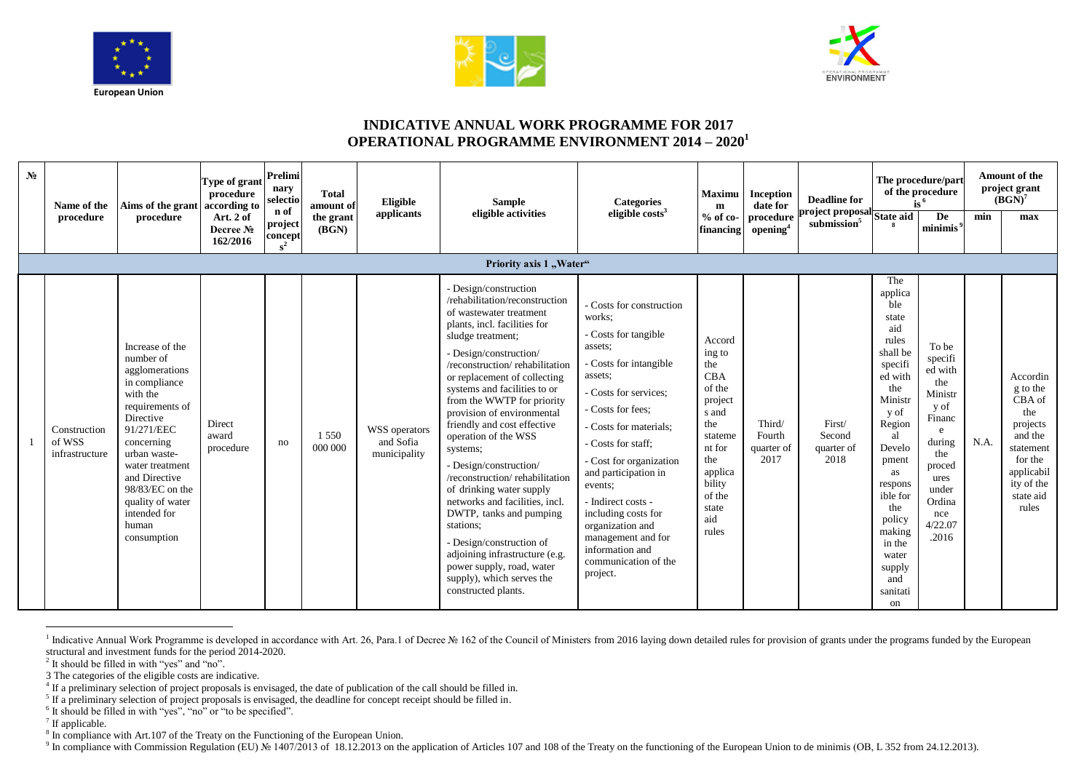





## **INDICATIVE ANNUAL WORK PROGRAMME FOR 2017 OPERATIONAL PROGRAMME ENVIRONMENT 2014 – 2020<sup>1</sup>**

| N <sub>0</sub> | Name of the                              | Aims of the grant                                                                                                                                                                                                                                                          | Type of grant<br>procedure<br>according to | Prelimi<br>nary<br>selectio | <b>Total</b><br>amount of | Eligible                                   | <b>Sample</b>                                                                                                                                                                                                                                                                                                                                                                                                                                                                                                                                                                                                                                                                                                       | <b>Categories</b>                                                                                                                                                                                                                                                                                                                                                                                                    | <b>Maximu</b><br>m                                                                                                                                             | <b>Inception</b><br>date for           | <b>Deadline for</b>                                                    | $\overline{15}^6$                                                                                                                                                                                                                                           | The procedure/part<br>of the procedure                                                                                                                |      | <b>Amount of the</b><br>project grant<br>$(BGN)^7$                                                                                     |
|----------------|------------------------------------------|----------------------------------------------------------------------------------------------------------------------------------------------------------------------------------------------------------------------------------------------------------------------------|--------------------------------------------|-----------------------------|---------------------------|--------------------------------------------|---------------------------------------------------------------------------------------------------------------------------------------------------------------------------------------------------------------------------------------------------------------------------------------------------------------------------------------------------------------------------------------------------------------------------------------------------------------------------------------------------------------------------------------------------------------------------------------------------------------------------------------------------------------------------------------------------------------------|----------------------------------------------------------------------------------------------------------------------------------------------------------------------------------------------------------------------------------------------------------------------------------------------------------------------------------------------------------------------------------------------------------------------|----------------------------------------------------------------------------------------------------------------------------------------------------------------|----------------------------------------|------------------------------------------------------------------------|-------------------------------------------------------------------------------------------------------------------------------------------------------------------------------------------------------------------------------------------------------------|-------------------------------------------------------------------------------------------------------------------------------------------------------|------|----------------------------------------------------------------------------------------------------------------------------------------|
|                | procedure                                | procedure                                                                                                                                                                                                                                                                  | Art. 2 of<br>Decree No<br>162/2016         | n of<br>project<br>concept  | the grant<br>(BGN)        | applicants                                 | eligible activities                                                                                                                                                                                                                                                                                                                                                                                                                                                                                                                                                                                                                                                                                                 | eligible $costs3$                                                                                                                                                                                                                                                                                                                                                                                                    | $%$ of co-<br>financing                                                                                                                                        | procedure<br>opening <sup>4</sup>      | project proposal<br>submission <sup>5</sup><br>submission <sup>5</sup> |                                                                                                                                                                                                                                                             | De<br>minimis <sup>5</sup>                                                                                                                            | min  | max                                                                                                                                    |
|                |                                          |                                                                                                                                                                                                                                                                            |                                            |                             |                           |                                            | Priority axis 1 "Water"                                                                                                                                                                                                                                                                                                                                                                                                                                                                                                                                                                                                                                                                                             |                                                                                                                                                                                                                                                                                                                                                                                                                      |                                                                                                                                                                |                                        |                                                                        |                                                                                                                                                                                                                                                             |                                                                                                                                                       |      |                                                                                                                                        |
|                | Construction<br>of WSS<br>infrastructure | Increase of the<br>number of<br>agglomerations<br>in compliance<br>with the<br>requirements of<br>Directive<br>91/271/EEC<br>concerning<br>urban waste-<br>water treatment<br>and Directive<br>98/83/EC on the<br>quality of water<br>intended for<br>human<br>consumption | Direct<br>award<br>procedure               | no                          | 1 5 5 0<br>000 000        | WSS operators<br>and Sofia<br>municipality | - Design/construction<br>/rehabilitation/reconstruction<br>of wastewater treatment<br>plants, incl. facilities for<br>sludge treatment;<br>- Design/construction/<br>/reconstruction/rehabilitation<br>or replacement of collecting<br>systems and facilities to or<br>from the WWTP for priority<br>provision of environmental<br>friendly and cost effective<br>operation of the WSS<br>systems;<br>- Design/construction/<br>/reconstruction/rehabilitation<br>of drinking water supply<br>networks and facilities, incl.<br>DWTP, tanks and pumping<br>stations:<br>- Design/construction of<br>adjoining infrastructure (e.g.<br>power supply, road, water<br>supply), which serves the<br>constructed plants. | - Costs for construction<br>works:<br>- Costs for tangible<br>assets:<br>- Costs for intangible<br>assets:<br>- Costs for services;<br>- Costs for fees:<br>- Costs for materials:<br>- Costs for staff:<br>- Cost for organization<br>and participation in<br>events:<br>- Indirect costs -<br>including costs for<br>organization and<br>management and for<br>information and<br>communication of the<br>project. | Accord<br>ing to<br>the<br><b>CBA</b><br>of the<br>project<br>s and<br>the<br>stateme<br>nt for<br>the<br>applica<br>bility<br>of the<br>state<br>aid<br>rules | Third/<br>Fourth<br>quarter of<br>2017 | First/<br>Second<br>quarter of<br>2018                                 | The<br>applica<br>ble<br>state<br>aid<br>rules<br>shall be<br>specifi<br>ed with<br>the<br>Ministr<br>y of<br>Region<br>al<br>Develo<br>pment<br>as<br>respons<br>ible for<br>the<br>policy<br>making<br>in the<br>water<br>supply<br>and<br>sanitati<br>on | To be<br>specifi<br>ed with<br>the<br>Ministr<br>y of<br>Financ<br>e<br>during<br>the<br>proced<br>ures<br>under<br>Ordina<br>nce<br>4/22.07<br>.2016 | N.A. | Accordin<br>g to the<br>CBA of<br>the<br>projects<br>and the<br>statement<br>for the<br>applicabil<br>ity of the<br>state aid<br>rules |

a Indicative Annual Work Programme is developed in accordance with Art. 26, Para.1 of Decree № 162 of the Council of Ministers from 2016 laying down detailed rules for provision of grants under the programs funded by the structural and investment funds for the period 2014-2020.

<sup>2</sup> It should be filled in with "yes" and "no".

3 The categories of the eligible costs are indicative.

<sup>6</sup> It should be filled in with "yes", "no" or "to be specified".

<sup>7</sup> If applicable.

<sup>8</sup> In compliance with Art.107 of the Treaty on the Functioning of the European Union.

<sup>9</sup> In compliance with Commission Regulation (EU) № 1407/2013 of 18.12.2013 on the application of Articles 107 and 108 of the Treaty on the functioning of the European Union to de minimis (OB, L 352 from 24.12.2013).

<sup>&</sup>lt;sup>4</sup> If a preliminary selection of project proposals is envisaged, the date of publication of the call should be filled in.

<sup>&</sup>lt;sup>5</sup> If a preliminary selection of project proposals is envisaged, the deadline for concept receipt should be filled in.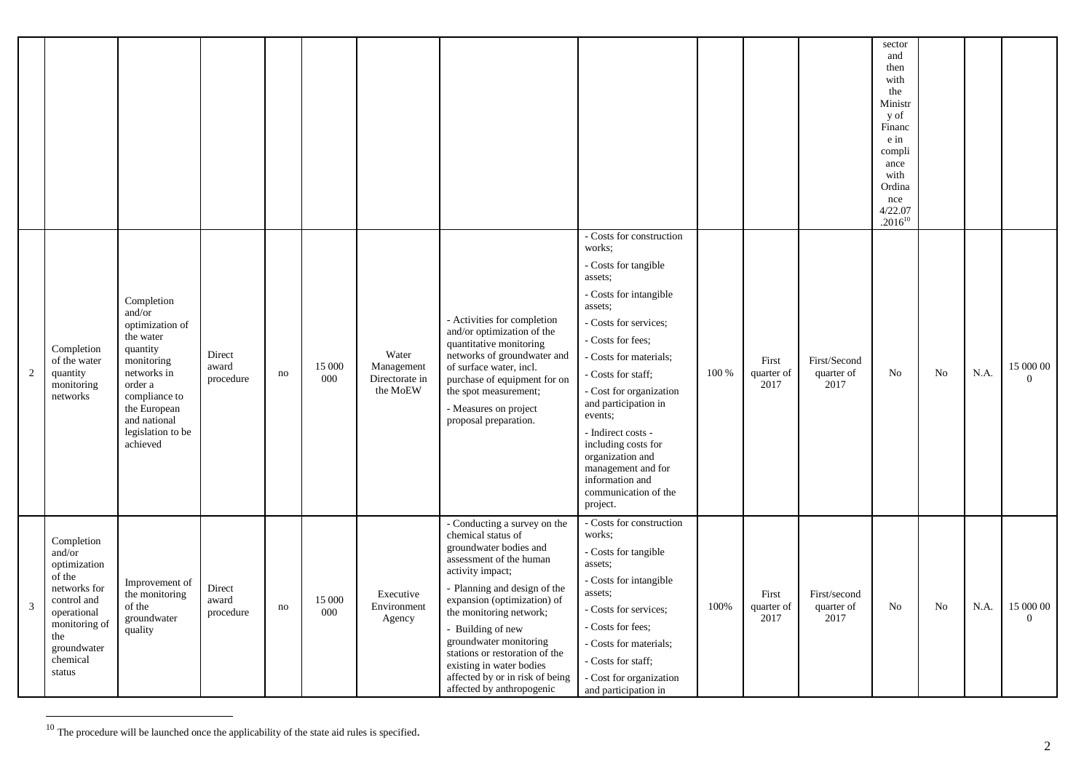|                         |                                                                                                                                                           |                                                                                                                                                                                            |                              |    |               |                                                   |                                                                                                                                                                                                                                                                                                                                                                                                    |                                                                                                                                                                                                                                                                                                                                                                                                                      |       |                             |                                    | sector<br>and<br>then<br>with<br>the<br>Ministr<br>y of<br>Financ<br>e in<br>compli<br>ance<br>with<br>Ordina<br>nce<br>4/22.07<br>$.2016^{10}$ |    |      |                             |
|-------------------------|-----------------------------------------------------------------------------------------------------------------------------------------------------------|--------------------------------------------------------------------------------------------------------------------------------------------------------------------------------------------|------------------------------|----|---------------|---------------------------------------------------|----------------------------------------------------------------------------------------------------------------------------------------------------------------------------------------------------------------------------------------------------------------------------------------------------------------------------------------------------------------------------------------------------|----------------------------------------------------------------------------------------------------------------------------------------------------------------------------------------------------------------------------------------------------------------------------------------------------------------------------------------------------------------------------------------------------------------------|-------|-----------------------------|------------------------------------|-------------------------------------------------------------------------------------------------------------------------------------------------|----|------|-----------------------------|
| $\overline{c}$          | Completion<br>of the water<br>quantity<br>monitoring<br>networks                                                                                          | Completion<br>and/or<br>optimization of<br>the water<br>quantity<br>monitoring<br>networks in<br>order a<br>compliance to<br>the European<br>and national<br>legislation to be<br>achieved | Direct<br>award<br>procedure | no | 15 000<br>000 | Water<br>Management<br>Directorate in<br>the MoEW | - Activities for completion<br>and/or optimization of the<br>quantitative monitoring<br>networks of groundwater and<br>of surface water, incl.<br>purchase of equipment for on<br>the spot measurement;<br>- Measures on project<br>proposal preparation.                                                                                                                                          | - Costs for construction<br>works:<br>- Costs for tangible<br>assets:<br>- Costs for intangible<br>assets;<br>- Costs for services;<br>- Costs for fees;<br>- Costs for materials;<br>- Costs for staff;<br>- Cost for organization<br>and participation in<br>events;<br>- Indirect costs -<br>including costs for<br>organization and<br>management and for<br>information and<br>communication of the<br>project. | 100 % | First<br>quarter of<br>2017 | First/Second<br>quarter of<br>2017 | No                                                                                                                                              | No | N.A. | 15 000 00<br>$\Omega$       |
| $\overline{\mathbf{3}}$ | Completion<br>and/or<br>optimization<br>of the<br>networks for<br>control and<br>operational<br>monitoring of<br>the<br>groundwater<br>chemical<br>status | Improvement of<br>the monitoring<br>of the<br>groundwater<br>quality                                                                                                                       | Direct<br>award<br>procedure | no | 15 000<br>000 | Executive<br>Environment<br>Agency                | - Conducting a survey on the<br>chemical status of<br>groundwater bodies and<br>assessment of the human<br>activity impact;<br>- Planning and design of the<br>expansion (optimization) of<br>the monitoring network;<br>- Building of new<br>groundwater monitoring<br>stations or restoration of the<br>existing in water bodies<br>affected by or in risk of being<br>affected by anthropogenic | - Costs for construction<br>works:<br>- Costs for tangible<br>assets;<br>- Costs for intangible<br>assets;<br>- Costs for services;<br>- Costs for fees:<br>- Costs for materials;<br>- Costs for staff;<br>- Cost for organization<br>and participation in                                                                                                                                                          | 100%  | First<br>quarter of<br>2017 | First/second<br>quarter of<br>2017 | No                                                                                                                                              | No | N.A. | 15 000 00<br>$\overline{0}$ |

 $10$  The procedure will be launched once the applicability of the state aid rules is specified.

 $\overline{a}$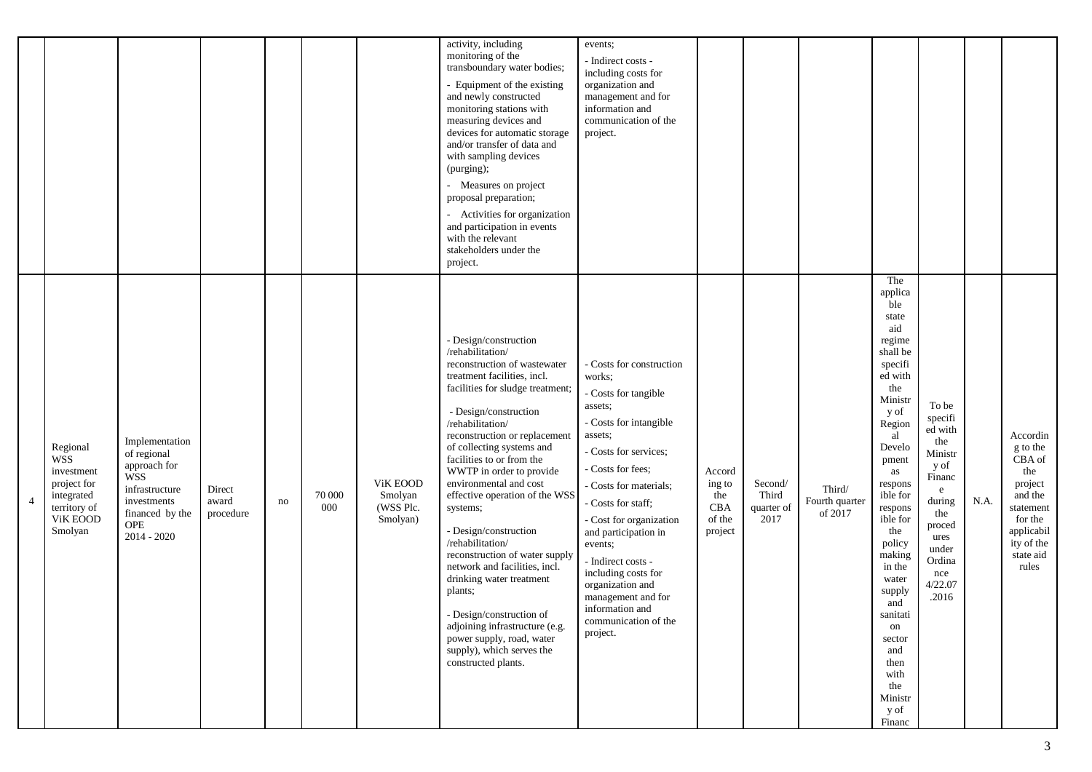|                |                                                                                                          |                                                                                                                                         |                              |    |               |                                              | activity, including<br>monitoring of the<br>transboundary water bodies;<br>- Equipment of the existing<br>and newly constructed<br>monitoring stations with<br>measuring devices and<br>devices for automatic storage<br>and/or transfer of data and<br>with sampling devices<br>(purging);<br>- Measures on project<br>proposal preparation;<br>- Activities for organization<br>and participation in events<br>with the relevant<br>stakeholders under the<br>project.                                                                                                                                                                                                                       | events;<br>- Indirect costs -<br>including costs for<br>organization and<br>management and for<br>information and<br>communication of the<br>project.                                                                                                                                                                                                                                                                |                                                     |                                        |                                     |                                                                                                                                                                                                                                                                                                                                                          |                                                                                                                                                       |      |                                                                                                                                       |
|----------------|----------------------------------------------------------------------------------------------------------|-----------------------------------------------------------------------------------------------------------------------------------------|------------------------------|----|---------------|----------------------------------------------|------------------------------------------------------------------------------------------------------------------------------------------------------------------------------------------------------------------------------------------------------------------------------------------------------------------------------------------------------------------------------------------------------------------------------------------------------------------------------------------------------------------------------------------------------------------------------------------------------------------------------------------------------------------------------------------------|----------------------------------------------------------------------------------------------------------------------------------------------------------------------------------------------------------------------------------------------------------------------------------------------------------------------------------------------------------------------------------------------------------------------|-----------------------------------------------------|----------------------------------------|-------------------------------------|----------------------------------------------------------------------------------------------------------------------------------------------------------------------------------------------------------------------------------------------------------------------------------------------------------------------------------------------------------|-------------------------------------------------------------------------------------------------------------------------------------------------------|------|---------------------------------------------------------------------------------------------------------------------------------------|
| $\overline{4}$ | Regional<br><b>WSS</b><br>investment<br>project for<br>integrated<br>territory of<br>ViK EOOD<br>Smolyan | Implementation<br>of regional<br>approach for<br><b>WSS</b><br>infrastructure<br>investments<br>financed by the<br>OPE<br>$2014 - 2020$ | Direct<br>award<br>procedure | no | 70 000<br>000 | ViK EOOD<br>Smolyan<br>(WSS Plc.<br>Smolyan) | - Design/construction<br>/rehabilitation/<br>reconstruction of wastewater<br>treatment facilities, incl.<br>facilities for sludge treatment;<br>- Design/construction<br>/rehabilitation/<br>reconstruction or replacement<br>of collecting systems and<br>facilities to or from the<br>WWTP in order to provide<br>environmental and cost<br>effective operation of the WSS<br>systems;<br>- Design/construction<br>/rehabilitation/<br>reconstruction of water supply<br>network and facilities, incl.<br>drinking water treatment<br>plants;<br>- Design/construction of<br>adjoining infrastructure (e.g.<br>power supply, road, water<br>supply), which serves the<br>constructed plants. | - Costs for construction<br>works;<br>- Costs for tangible<br>assets;<br>- Costs for intangible<br>assets;<br>- Costs for services;<br>- Costs for fees;<br>- Costs for materials;<br>- Costs for staff;<br>- Cost for organization<br>and participation in<br>events;<br>- Indirect costs -<br>including costs for<br>organization and<br>management and for<br>information and<br>communication of the<br>project. | Accord<br>ing to<br>the<br>CBA<br>of the<br>project | Second/<br>Third<br>quarter of<br>2017 | Third/<br>Fourth quarter<br>of 2017 | The<br>applica<br>ble<br>state<br>aid<br>regime<br>shall be<br>specifi<br>ed with<br>the<br>Ministr<br>y of<br>Region<br>al<br>Develo<br>pment<br>as<br>respons<br>ible for<br>respons<br>ible for<br>the<br>policy<br>making<br>in the<br>water<br>supply<br>and<br>sanitati<br>on<br>sector<br>and<br>then<br>with<br>the<br>Ministr<br>y of<br>Financ | To be<br>specifi<br>ed with<br>the<br>Ministr<br>y of<br>Financ<br>e<br>during<br>the<br>proced<br>ures<br>under<br>Ordina<br>nce<br>4/22.07<br>.2016 | N.A. | Accordin<br>g to the<br>CBA of<br>the<br>project<br>and the<br>statement<br>for the<br>applicabil<br>ity of the<br>state aid<br>rules |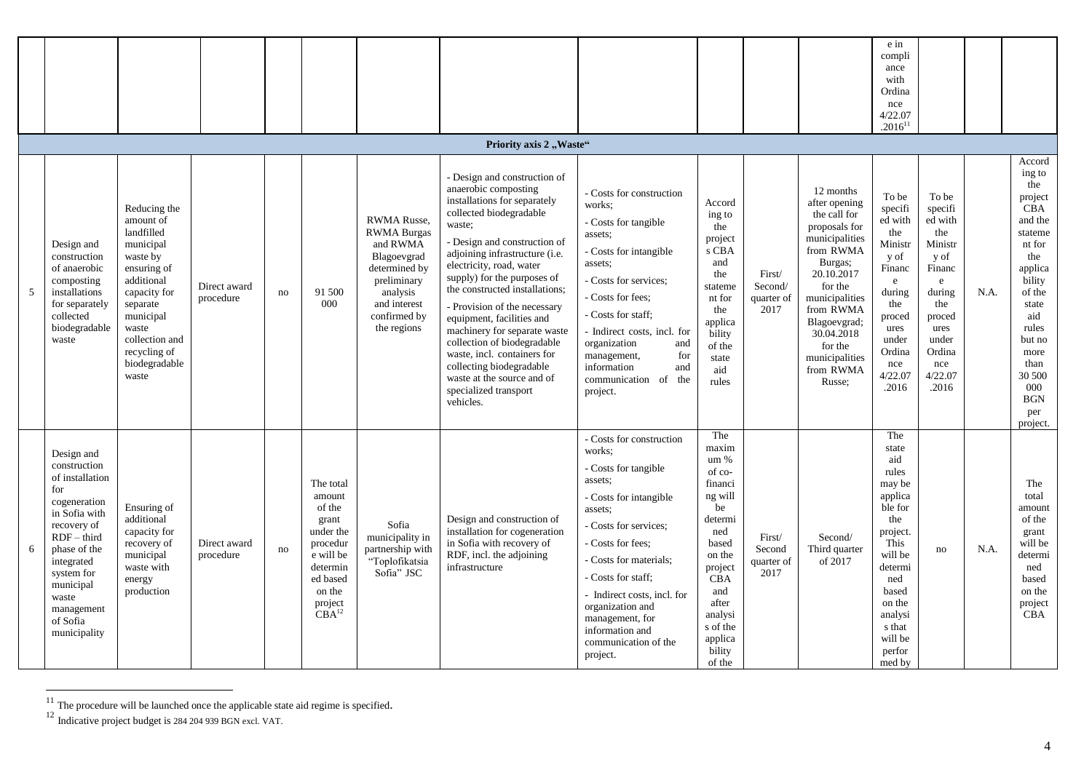|   |                                                                                                                                                                                                                                   |                                                                                                                                                                                                             |                           |    |                                                                                                                                                |                                                                                                                                                                |                                                                                                                                                                                                                                                                                                                                                                                                                                                                                                                                                     |                                                                                                                                                                                                                                                                                                                                       |                                                                                                                                                                                         |                                         |                                                                                                                                                                                                                                                 | e in<br>compli<br>ance<br>with<br>Ordina<br>nce<br>4/22.07<br>$.2016^{11}$                                                                                                                  |                                                                                                                                                                  |      |                                                                                                                                                                                                                             |
|---|-----------------------------------------------------------------------------------------------------------------------------------------------------------------------------------------------------------------------------------|-------------------------------------------------------------------------------------------------------------------------------------------------------------------------------------------------------------|---------------------------|----|------------------------------------------------------------------------------------------------------------------------------------------------|----------------------------------------------------------------------------------------------------------------------------------------------------------------|-----------------------------------------------------------------------------------------------------------------------------------------------------------------------------------------------------------------------------------------------------------------------------------------------------------------------------------------------------------------------------------------------------------------------------------------------------------------------------------------------------------------------------------------------------|---------------------------------------------------------------------------------------------------------------------------------------------------------------------------------------------------------------------------------------------------------------------------------------------------------------------------------------|-----------------------------------------------------------------------------------------------------------------------------------------------------------------------------------------|-----------------------------------------|-------------------------------------------------------------------------------------------------------------------------------------------------------------------------------------------------------------------------------------------------|---------------------------------------------------------------------------------------------------------------------------------------------------------------------------------------------|------------------------------------------------------------------------------------------------------------------------------------------------------------------|------|-----------------------------------------------------------------------------------------------------------------------------------------------------------------------------------------------------------------------------|
|   |                                                                                                                                                                                                                                   |                                                                                                                                                                                                             |                           |    |                                                                                                                                                |                                                                                                                                                                | Priority axis 2, Waste"                                                                                                                                                                                                                                                                                                                                                                                                                                                                                                                             |                                                                                                                                                                                                                                                                                                                                       |                                                                                                                                                                                         |                                         |                                                                                                                                                                                                                                                 |                                                                                                                                                                                             |                                                                                                                                                                  |      |                                                                                                                                                                                                                             |
| 5 | Design and<br>construction<br>of anaerobic<br>composting<br>installations<br>for separately<br>collected<br>biodegradable<br>waste                                                                                                | Reducing the<br>amount of<br>landfilled<br>municipal<br>waste by<br>ensuring of<br>additional<br>capacity for<br>separate<br>municipal<br>waste<br>collection and<br>recycling of<br>biodegradable<br>waste | Direct award<br>procedure | no | 91 500<br>000                                                                                                                                  | <b>RWMA</b> Russe,<br><b>RWMA Burgas</b><br>and RWMA<br>Blagoevgrad<br>determined by<br>preliminary<br>analysis<br>and interest<br>confirmed by<br>the regions | - Design and construction of<br>anaerobic composting<br>installations for separately<br>collected biodegradable<br>waste;<br>- Design and construction of<br>adjoining infrastructure (i.e.<br>electricity, road, water<br>supply) for the purposes of<br>the constructed installations;<br>- Provision of the necessary<br>equipment, facilities and<br>machinery for separate waste<br>collection of biodegradable<br>waste, incl. containers for<br>collecting biodegradable<br>waste at the source and of<br>specialized transport<br>vehicles. | - Costs for construction<br>works:<br>- Costs for tangible<br>assets:<br>- Costs for intangible<br>assets:<br>- Costs for services;<br>- Costs for fees;<br>- Costs for staff;<br>- Indirect costs, incl. for<br>organization<br>and<br>management,<br>for<br>information<br>and<br>communication of<br>the<br>project.               | Accord<br>ing to<br>the<br>project<br>s CBA<br>and<br>the<br>stateme<br>nt for<br>the<br>applica<br>bility<br>of the<br>state<br>aid<br>rules                                           | First/<br>Second/<br>quarter of<br>2017 | 12 months<br>after opening<br>the call for<br>proposals for<br>municipalities<br>from RWMA<br>Burgas;<br>20.10.2017<br>for the<br>municipalities<br>from RWMA<br>Blagoevgrad;<br>30.04.2018<br>for the<br>municipalities<br>from RWMA<br>Russe: | To be<br>specifi<br>ed with<br>the<br>Ministr<br>y of<br>Financ<br>$\mathbf{e}$<br>during<br>the<br>proced<br>ures<br>under<br>Ordina<br>nce<br>4/22.07<br>.2016                            | To be<br>specifi<br>ed with<br>the<br>Ministr<br>y of<br>Financ<br>$\mathbf{e}$<br>during<br>the<br>proced<br>ures<br>under<br>Ordina<br>nce<br>4/22.07<br>.2016 | N.A. | Accord<br>ing to<br>the<br>project<br><b>CBA</b><br>and the<br>stateme<br>nt for<br>the<br>applica<br>bility<br>of the<br>state<br>aid<br>rules<br>but no<br>more<br>than<br>30 500<br>000<br><b>BGN</b><br>per<br>project. |
| 6 | Design and<br>construction<br>of installation<br>for<br>cogeneration<br>in Sofia with<br>recovery of<br>$RDF - third$<br>phase of the<br>integrated<br>system for<br>municipal<br>waste<br>management<br>of Sofia<br>municipality | Ensuring of<br>additional<br>capacity for<br>recovery of<br>municipal<br>waste with<br>energy<br>production                                                                                                 | Direct award<br>procedure | no | The total<br>amount<br>of the<br>grant<br>under the<br>procedur<br>e will be<br>determin<br>ed based<br>on the<br>project<br>CBA <sup>12</sup> | Sofia<br>municipality in<br>partnership with<br>"Toplofikatsia<br>Sofia" JSC                                                                                   | Design and construction of<br>installation for cogeneration<br>in Sofia with recovery of<br>RDF, incl. the adjoining<br>infrastructure                                                                                                                                                                                                                                                                                                                                                                                                              | - Costs for construction<br>works:<br>- Costs for tangible<br>assets:<br>- Costs for intangible<br>assets:<br>- Costs for services;<br>- Costs for fees:<br>- Costs for materials;<br>- Costs for staff:<br>- Indirect costs, incl. for<br>organization and<br>management, for<br>information and<br>communication of the<br>project. | The<br>maxim<br>um %<br>of co-<br>financi<br>ng will<br>be<br>determi<br>ned<br>based<br>on the<br>project<br>CBA<br>and<br>after<br>analysi<br>s of the<br>applica<br>bility<br>of the | First/<br>Second<br>quarter of<br>2017  | Second/<br>Third quarter<br>of 2017                                                                                                                                                                                                             | The<br>state<br>aid<br>rules<br>may be<br>applica<br>ble for<br>the<br>project.<br>This<br>will be<br>determi<br>ned<br>based<br>on the<br>analysi<br>s that<br>will be<br>perfor<br>med by | no                                                                                                                                                               | N.A. | The<br>total<br>amount<br>of the<br>grant<br>will be<br>determi<br>ned<br>based<br>on the<br>project<br><b>CBA</b>                                                                                                          |

 $11$  The procedure will be launched once the applicable state aid regime is specified.

 $\overline{a}$ 

<sup>&</sup>lt;sup>12</sup> Indicative project budget is 284 204 939 BGN excl. VAT.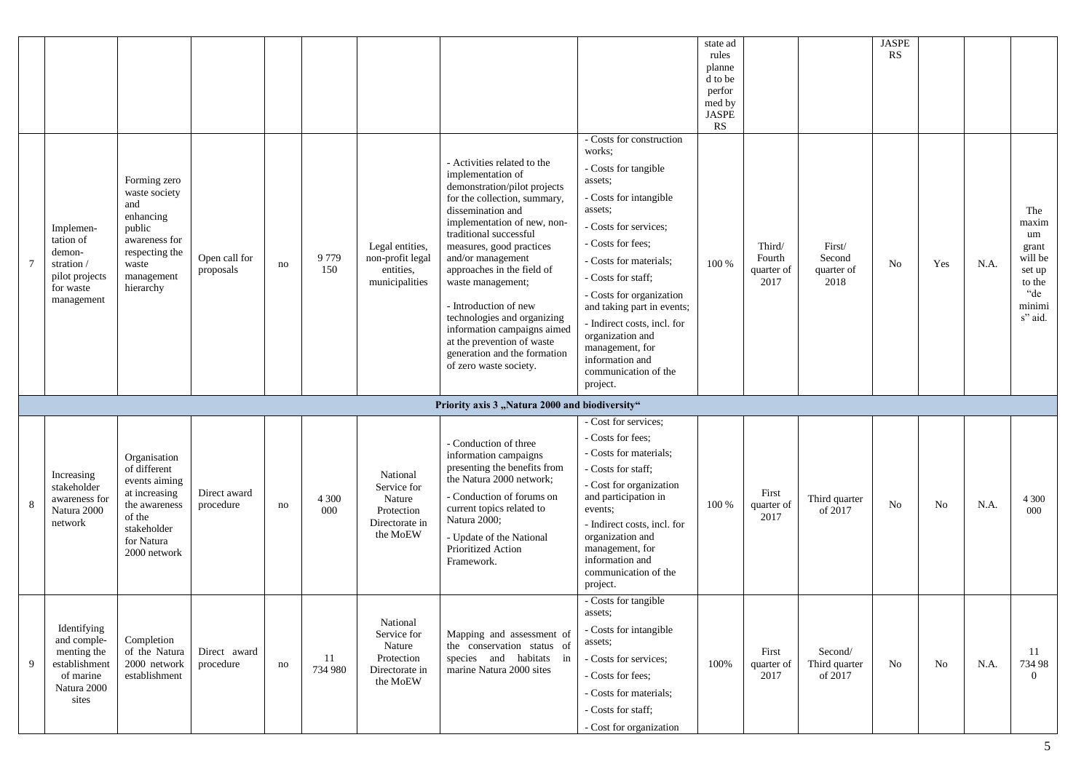|   |                                                                                                 |                                                                                                                                        |                            |    |                |                                                                               |                                                                                                                                                                                                                                                                                                                                                                                                                                                                                   |                                                                                                                                                                                                                                                                                                                                                                                                 | state ad<br>rules<br>planne<br>d to be<br>perfor<br>med by<br>JASPE<br>RS |                                        |                                        | <b>JASPE</b><br>RS |     |      |                                                                                        |
|---|-------------------------------------------------------------------------------------------------|----------------------------------------------------------------------------------------------------------------------------------------|----------------------------|----|----------------|-------------------------------------------------------------------------------|-----------------------------------------------------------------------------------------------------------------------------------------------------------------------------------------------------------------------------------------------------------------------------------------------------------------------------------------------------------------------------------------------------------------------------------------------------------------------------------|-------------------------------------------------------------------------------------------------------------------------------------------------------------------------------------------------------------------------------------------------------------------------------------------------------------------------------------------------------------------------------------------------|---------------------------------------------------------------------------|----------------------------------------|----------------------------------------|--------------------|-----|------|----------------------------------------------------------------------------------------|
|   | Implemen-<br>tation of<br>demon-<br>stration /<br>pilot projects<br>for waste<br>management     | Forming zero<br>waste society<br>and<br>enhancing<br>public<br>awareness for<br>respecting the<br>waste<br>management<br>hierarchy     | Open call for<br>proposals | no | 9779<br>150    | Legal entities,<br>non-profit legal<br>entities,<br>municipalities            | - Activities related to the<br>implementation of<br>demonstration/pilot projects<br>for the collection, summary,<br>dissemination and<br>implementation of new, non-<br>traditional successful<br>measures, good practices<br>and/or management<br>approaches in the field of<br>waste management;<br>- Introduction of new<br>technologies and organizing<br>information campaigns aimed<br>at the prevention of waste<br>generation and the formation<br>of zero waste society. | - Costs for construction<br>works:<br>- Costs for tangible<br>assets:<br>- Costs for intangible<br>assets:<br>- Costs for services;<br>- Costs for fees;<br>- Costs for materials;<br>- Costs for staff;<br>- Costs for organization<br>and taking part in events;<br>- Indirect costs, incl. for<br>organization and<br>management, for<br>information and<br>communication of the<br>project. | 100 %                                                                     | Third/<br>Fourth<br>quarter of<br>2017 | First/<br>Second<br>quarter of<br>2018 | No                 | Yes | N.A. | The<br>maxim<br>um<br>grant<br>will be<br>set up<br>to the<br>"de<br>minimi<br>s" aid. |
| 8 | Increasing<br>stakeholder<br>awareness for<br>Natura 2000<br>network                            | Organisation<br>of different<br>events aiming<br>at increasing<br>the awareness<br>of the<br>stakeholder<br>for Natura<br>2000 network | Direct award<br>procedure  | no | 4 3 0 0<br>000 | National<br>Service for<br>Nature<br>Protection<br>Directorate in<br>the MoEW | Priority axis 3 "Natura 2000 and biodiversity"<br>- Conduction of three<br>information campaigns<br>presenting the benefits from<br>the Natura 2000 network;<br>- Conduction of forums on<br>current topics related to<br>Natura 2000;<br>- Update of the National<br>Prioritized Action<br>Framework.                                                                                                                                                                            | - Cost for services;<br>- Costs for fees:<br>- Costs for materials;<br>- Costs for staff;<br>- Cost for organization<br>and participation in<br>events;<br>- Indirect costs, incl. for<br>organization and<br>management, for<br>information and<br>communication of the<br>project.                                                                                                            | 100 %                                                                     | First<br>quarter of<br>2017            | Third quarter<br>of 2017               | No                 | No  | N.A. | 4 3 0 0<br>000                                                                         |
| 9 | Identifying<br>and comple-<br>menting the<br>establishment<br>of marine<br>Natura 2000<br>sites | Completion<br>of the Natura<br>2000 network<br>establishment                                                                           | Direct award<br>procedure  | no | 11<br>734 980  | National<br>Service for<br>Nature<br>Protection<br>Directorate in<br>the MoEW | Mapping and assessment of<br>the conservation status of<br>species and habitats in<br>marine Natura 2000 sites                                                                                                                                                                                                                                                                                                                                                                    | - Costs for tangible<br>assets;<br>- Costs for intangible<br>assets;<br>- Costs for services;<br>- Costs for fees:<br>- Costs for materials;<br>- Costs for staff;<br>- Cost for organization                                                                                                                                                                                                   | 100%                                                                      | First<br>quarter of<br>2017            | Second/<br>Third quarter<br>of 2017    | No                 | No  | N.A. | -11<br>734 98<br>$\overline{0}$                                                        |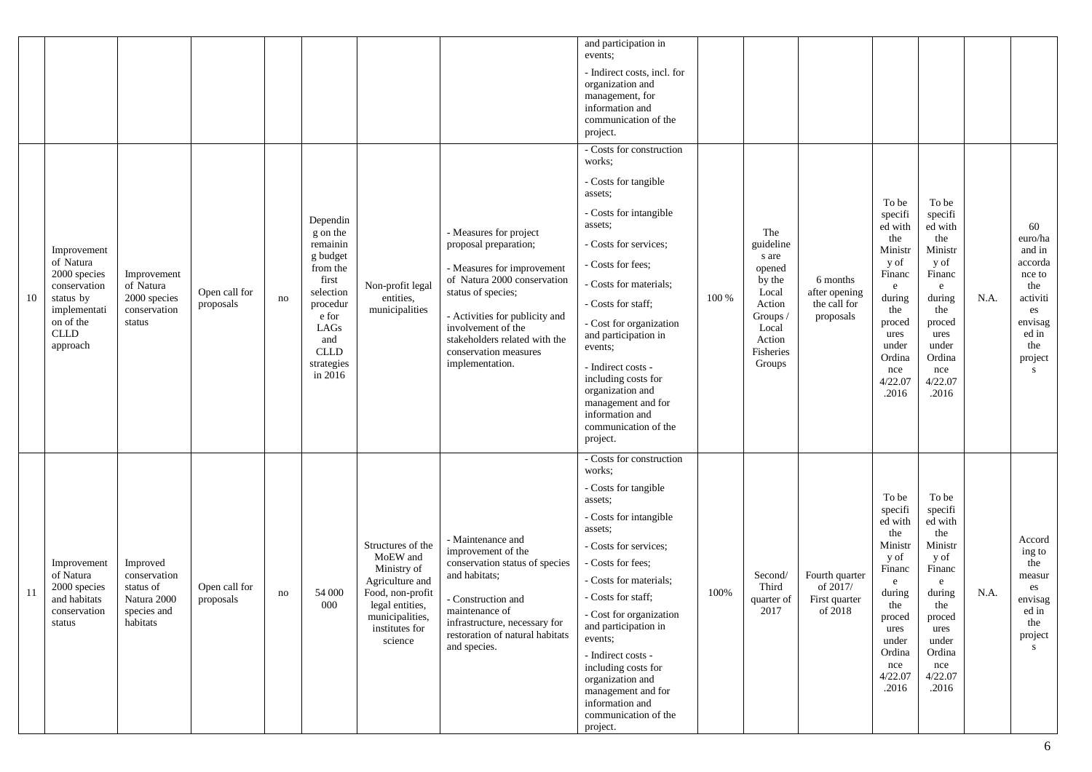|    |                                                                                                                               |                                                                                 |                            |    |                                                                                                                                                            |                                                                                                                                                        |                                                                                                                                                                                                                                                                         | and participation in<br>events;<br>- Indirect costs, incl. for<br>organization and<br>management, for<br>information and<br>communication of the<br>project.                                                                                                                                                                                                                                                         |       |                                                                                                                        |                                                        |                                                                                                                                                       |                                                                                                                                                               |      |                                                                                                                   |
|----|-------------------------------------------------------------------------------------------------------------------------------|---------------------------------------------------------------------------------|----------------------------|----|------------------------------------------------------------------------------------------------------------------------------------------------------------|--------------------------------------------------------------------------------------------------------------------------------------------------------|-------------------------------------------------------------------------------------------------------------------------------------------------------------------------------------------------------------------------------------------------------------------------|----------------------------------------------------------------------------------------------------------------------------------------------------------------------------------------------------------------------------------------------------------------------------------------------------------------------------------------------------------------------------------------------------------------------|-------|------------------------------------------------------------------------------------------------------------------------|--------------------------------------------------------|-------------------------------------------------------------------------------------------------------------------------------------------------------|---------------------------------------------------------------------------------------------------------------------------------------------------------------|------|-------------------------------------------------------------------------------------------------------------------|
| 10 | Improvement<br>of Natura<br>2000 species<br>conservation<br>status by<br>implementati<br>on of the<br><b>CLLD</b><br>approach | Improvement<br>of Natura<br>2000 species<br>conservation<br>status              | Open call for<br>proposals | no | Dependin<br>g on the<br>remainin<br>g budget<br>from the<br>first<br>selection<br>procedur<br>e for<br>LAGs<br>and<br><b>CLLD</b><br>strategies<br>in 2016 | Non-profit legal<br>entities,<br>municipalities                                                                                                        | - Measures for project<br>proposal preparation;<br>- Measures for improvement<br>of Natura 2000 conservation<br>status of species;<br>- Activities for publicity and<br>involvement of the<br>stakeholders related with the<br>conservation measures<br>implementation. | - Costs for construction<br>works:<br>- Costs for tangible<br>assets;<br>- Costs for intangible<br>assets;<br>- Costs for services;<br>- Costs for fees;<br>- Costs for materials;<br>- Costs for staff:<br>- Cost for organization<br>and participation in<br>events;<br>- Indirect costs -<br>including costs for<br>organization and<br>management and for<br>information and<br>communication of the<br>project. | 100 % | The<br>guideline<br>s are<br>opened<br>by the<br>Local<br>Action<br>Groups /<br>Local<br>Action<br>Fisheries<br>Groups | 6 months<br>after opening<br>the call for<br>proposals | To be<br>specifi<br>ed with<br>the<br>Ministr<br>y of<br>Financ<br>e<br>during<br>the<br>proced<br>ures<br>under<br>Ordina<br>nce<br>4/22.07<br>.2016 | To be<br>specifi<br>ed with<br>the<br>Ministr<br>y of<br>Financ<br>${\rm e}$<br>during<br>the<br>proced<br>ures<br>under<br>Ordina<br>nce<br>4/22.07<br>.2016 | N.A. | 60<br>euro/ha<br>and in<br>accorda<br>nce to<br>the<br>activiti<br>es<br>envisag<br>ed in<br>the<br>project<br>S. |
| 11 | Improvement<br>of Natura<br>2000 species<br>and habitats<br>conservation<br>status                                            | Improved<br>conservation<br>status of<br>Natura 2000<br>species and<br>habitats | Open call for<br>proposals | no | 54 000<br>000                                                                                                                                              | Structures of the<br>MoEW and<br>Ministry of<br>Agriculture and<br>Food, non-profit<br>legal entities,<br>municipalities,<br>institutes for<br>science | - Maintenance and<br>improvement of the<br>conservation status of species<br>and habitats;<br>- Construction and<br>maintenance of<br>infrastructure, necessary for<br>restoration of natural habitats<br>and species.                                                  | - Costs for construction<br>works;<br>- Costs for tangible<br>assets;<br>- Costs for intangible<br>assets:<br>- Costs for services;<br>- Costs for fees;<br>- Costs for materials;<br>- Costs for staff:<br>- Cost for organization<br>and participation in<br>events;<br>- Indirect costs -<br>including costs for<br>organization and<br>management and for<br>information and<br>communication of the<br>project. | 100%  | Second/<br>Third<br>quarter of<br>2017                                                                                 | Fourth quarter<br>of 2017/<br>First quarter<br>of 2018 | To be<br>specifi<br>ed with<br>the<br>Ministr<br>y of<br>Financ<br>e<br>during<br>the<br>proced<br>ures<br>under<br>Ordina<br>nce<br>4/22.07<br>.2016 | To be<br>specifi<br>ed with<br>the<br>Ministr<br>y of<br>Financ<br>e<br>during<br>the<br>proced<br>ures<br>under<br>Ordina<br>nce<br>4/22.07<br>.2016         | N.A. | Accord<br>ing to<br>the<br>measur<br>es<br>envisag<br>ed in<br>the<br>project<br>S.                               |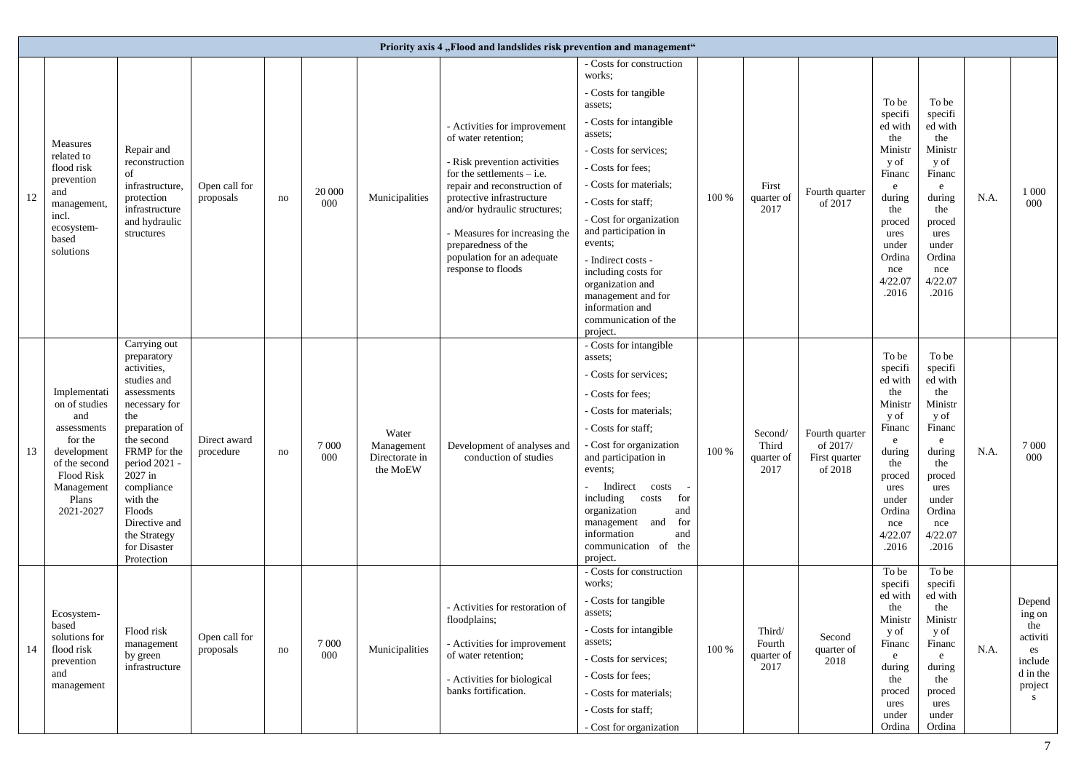|    |                                                                                                                                                         |                                                                                                                                                                                                                                                                                 |                            |    |                |                                                   | Priority axis 4, Flood and landslides risk prevention and management"                                                                                                                                                                                                                                                        |                                                                                                                                                                                                                                                                                                                                                                                                                      |       |                                        |                                                        |                                                                                                                                                       |                                                                                                                                                                  |      |                                                                                  |
|----|---------------------------------------------------------------------------------------------------------------------------------------------------------|---------------------------------------------------------------------------------------------------------------------------------------------------------------------------------------------------------------------------------------------------------------------------------|----------------------------|----|----------------|---------------------------------------------------|------------------------------------------------------------------------------------------------------------------------------------------------------------------------------------------------------------------------------------------------------------------------------------------------------------------------------|----------------------------------------------------------------------------------------------------------------------------------------------------------------------------------------------------------------------------------------------------------------------------------------------------------------------------------------------------------------------------------------------------------------------|-------|----------------------------------------|--------------------------------------------------------|-------------------------------------------------------------------------------------------------------------------------------------------------------|------------------------------------------------------------------------------------------------------------------------------------------------------------------|------|----------------------------------------------------------------------------------|
| 12 | Measures<br>related to<br>flood risk<br>prevention<br>and<br>management,<br>incl.<br>ecosystem-<br>based<br>solutions                                   | Repair and<br>reconstruction<br>of<br>infrastructure,<br>protection<br>infrastructure<br>and hydraulic<br>structures                                                                                                                                                            | Open call for<br>proposals | no | 20 000<br>000  | Municipalities                                    | - Activities for improvement<br>of water retention;<br>- Risk prevention activities<br>for the settlements $-$ i.e.<br>repair and reconstruction of<br>protective infrastructure<br>and/or hydraulic structures;<br>- Measures for increasing the<br>preparedness of the<br>population for an adequate<br>response to floods | - Costs for construction<br>works:<br>- Costs for tangible<br>assets:<br>- Costs for intangible<br>assets:<br>- Costs for services;<br>- Costs for fees;<br>- Costs for materials;<br>- Costs for staff;<br>- Cost for organization<br>and participation in<br>events;<br>- Indirect costs -<br>including costs for<br>organization and<br>management and for<br>information and<br>communication of the<br>project. | 100 % | First<br>quarter of<br>2017            | Fourth quarter<br>of 2017                              | To be<br>specifi<br>ed with<br>the<br>Ministr<br>y of<br>Financ<br>e<br>during<br>the<br>proced<br>ures<br>under<br>Ordina<br>nce<br>4/22.07<br>.2016 | To be<br>specifi<br>ed with<br>the<br>Ministr<br>y of<br>Financ<br>e<br>during<br>the<br>proced<br>ures<br>under<br>Ordina<br>nce<br>4/22.07<br>.2016            | N.A. | 1 0 0 0<br>000                                                                   |
| 13 | Implementati<br>on of studies<br>and<br>assessments<br>for the<br>development<br>of the second<br><b>Flood Risk</b><br>Management<br>Plans<br>2021-2027 | Carrying out<br>preparatory<br>activities,<br>studies and<br>assessments<br>necessary for<br>the<br>preparation of<br>the second<br>FRMP for the<br>period 2021 -<br>2027 in<br>compliance<br>with the<br>Floods<br>Directive and<br>the Strategy<br>for Disaster<br>Protection | Direct award<br>procedure  | no | 7 0 0 0<br>000 | Water<br>Management<br>Directorate in<br>the MoEW | Development of analyses and<br>conduction of studies                                                                                                                                                                                                                                                                         | - Costs for intangible<br>assets:<br>- Costs for services;<br>- Costs for fees;<br>- Costs for materials;<br>- Costs for staff:<br>- Cost for organization<br>and participation in<br>events;<br>Indirect costs<br>for<br>including<br>costs<br>organization<br>and<br>for<br>management<br>and<br>information<br>and<br>communication of the<br>project.                                                            | 100 % | Second/<br>Third<br>quarter of<br>2017 | Fourth quarter<br>of 2017/<br>First quarter<br>of 2018 | To be<br>specifi<br>ed with<br>the<br>Ministr<br>y of<br>Financ<br>e<br>during<br>the<br>proced<br>ures<br>under<br>Ordina<br>nce<br>4/22.07<br>.2016 | To be<br>specifi<br>ed with<br>the<br>Ministr<br>y of<br>Financ<br>$\mathbf{e}$<br>during<br>the<br>proced<br>ures<br>under<br>Ordina<br>nce<br>4/22.07<br>.2016 | N.A. | 7 0 0 0<br>000                                                                   |
| 14 | Ecosystem-<br>based<br>solutions for<br>flood risk<br>prevention<br>and<br>management                                                                   | Flood risk<br>management<br>by green<br>infrastructure                                                                                                                                                                                                                          | Open call for<br>proposals | no | 7 0 0 0<br>000 | Municipalities                                    | - Activities for restoration of<br>floodplains;<br>- Activities for improvement<br>of water retention;<br>- Activities for biological<br>banks fortification.                                                                                                                                                                | - Costs for construction<br>works:<br>- Costs for tangible<br>assets;<br>- Costs for intangible<br>assets:<br>- Costs for services;<br>- Costs for fees;<br>- Costs for materials;<br>- Costs for staff;<br>- Cost for organization                                                                                                                                                                                  | 100 % | Third/<br>Fourth<br>quarter of<br>2017 | Second<br>quarter of<br>2018                           | To be<br>specifi<br>ed with<br>the<br>Ministr<br>y of<br>Financ<br>e<br>during<br>the<br>proced<br>ures<br>under<br>Ordina                            | To be<br>specifi<br>ed with<br>the<br>Ministr<br>y of<br>Financ<br>$\mathbf{e}$<br>during<br>the<br>proced<br>ures<br>under<br>Ordina                            | N.A. | Depend<br>ing on<br>the<br>activiti<br>es<br>include<br>d in the<br>project<br>S |